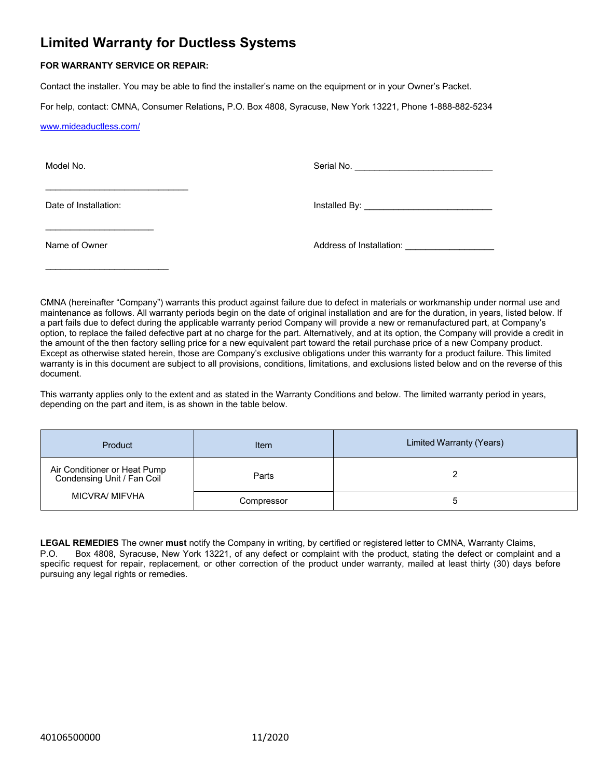# **Limited Warranty for Ductless Systems**

## **FOR WARRANTY SERVICE OR REPAIR:**

\_\_\_\_\_\_\_\_\_\_\_\_\_\_\_\_\_\_\_\_\_\_\_\_\_\_\_\_\_

Contact the installer. You may be able to find the installer's name on the equipment or in your Owner's Packet.

For help, contact: CMNA, Consumer Relations**,** P.O. Box 4808, Syracuse, New York 13221, Phone 1-888-882-5234

[www.mideaductless.com/](http://www.mideaductless.com/)

Model No.

Serial No.

Date of Installation:

\_\_\_\_\_\_\_\_\_\_\_\_\_\_\_\_\_\_\_\_\_\_

\_\_\_\_\_\_\_\_\_\_\_\_\_\_\_\_\_\_\_\_\_\_\_\_\_

Installed By: \_\_\_\_\_\_\_\_\_\_\_\_\_\_\_\_\_\_\_\_\_\_\_\_\_\_

Name of Owner

Address of Installation:

CMNA (hereinafter "Company") warrants this product against failure due to defect in materials or workmanship under normal use and maintenance as follows. All warranty periods begin on the date of original installation and are for the duration, in years, listed below. If a part fails due to defect during the applicable warranty period Company will provide a new or remanufactured part, at Company's option, to replace the failed defective part at no charge for the part. Alternatively, and at its option, the Company will provide a credit in the amount of the then factory selling price for a new equivalent part toward the retail purchase price of a new Company product. Except as otherwise stated herein, those are Company's exclusive obligations under this warranty for a product failure. This limited warranty is in this document are subject to all provisions, conditions, limitations, and exclusions listed below and on the reverse of this document.

This warranty applies only to the extent and as stated in the Warranty Conditions and below. The limited warranty period in years, depending on the part and item, is as shown in the table below.

| Product                                                                             | Item       | Limited Warranty (Years) |
|-------------------------------------------------------------------------------------|------------|--------------------------|
| Air Conditioner or Heat Pump<br>Condensing Unit / Fan Coil<br><b>MICVRA/ MIFVHA</b> | Parts      |                          |
|                                                                                     | Compressor | э                        |

**LEGAL REMEDIES** The owner **must** notify the Company in writing, by certified or registered letter to CMNA, Warranty Claims, P.O. Box 4808, Syracuse, New York 13221, of any defect or complaint with the product, stating the defect or complaint and a specific request for repair, replacement, or other correction of the product under warranty, mailed at least thirty (30) days before pursuing any legal rights or remedies.